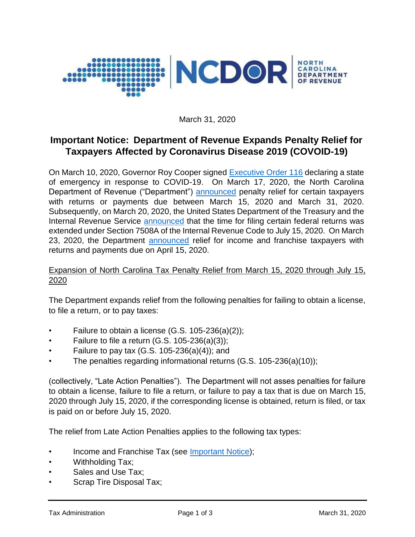

March 31, 2020

# **Important Notice: Department of Revenue Expands Penalty Relief for Taxpayers Affected by Coronavirus Disease 2019 (COVOID-19)**

On March 10, 2020, Governor Roy Cooper signed [Executive Order 116](https://files.nc.gov/governor/documents/files/EO116-SOE-COVID-19.pdf) declaring a state of emergency in response to COVID-19. On March 17, 2020, the North Carolina Department of Revenue ("Department") [announced](https://www.ncdor.gov/news/press-releases/2020/03/17/ncdor-offers-penalty-waivers-taxpayers-related-state-emergency) penalty relief for certain taxpayers with returns or payments due between March 15, 2020 and March 31, 2020. Subsequently, on March 20, 2020, the United States Department of the Treasury and the Internal Revenue Service [announced](https://www.irs.gov/pub/irs-drop/n-20-18.pdf) that the time for filing certain federal returns was extended under Section 7508A of the Internal Revenue Code to July 15, 2020. On March 23, 2020, the Department [announced](https://www.ncdor.gov/documents/important-notice-department-revenue-extends-time-file-income-and-franchise-tax-returns-july-15-2020) relief for income and franchise taxpayers with returns and payments due on April 15, 2020.

# Expansion of North Carolina Tax Penalty Relief from March 15, 2020 through July 15, 2020

The Department expands relief from the following penalties for failing to obtain a license, to file a return, or to pay taxes:

- Failure to obtain a license  $(G.S. 105-236(a)(2));$
- Failure to file a return  $(G.S. 105-236(a)(3));$
- Failure to pay tax  $(G.S. 105-236(a)(4))$ ; and
- The penalties regarding informational returns (G.S. 105-236(a)(10));

(collectively, "Late Action Penalties"). The Department will not asses penalties for failure to obtain a license, failure to file a return, or failure to pay a tax that is due on March 15, 2020 through July 15, 2020, if the corresponding license is obtained, return is filed, or tax is paid on or before July 15, 2020.

The relief from Late Action Penalties applies to the following tax types:

- Income and Franchise Tax (see [Important Notice\)](https://www.ncdor.gov/documents/important-notice-department-revenue-extends-time-file-income-and-franchise-tax-returns-july-15-2020);
- Withholding Tax;
- Sales and Use Tax:
- Scrap Tire Disposal Tax;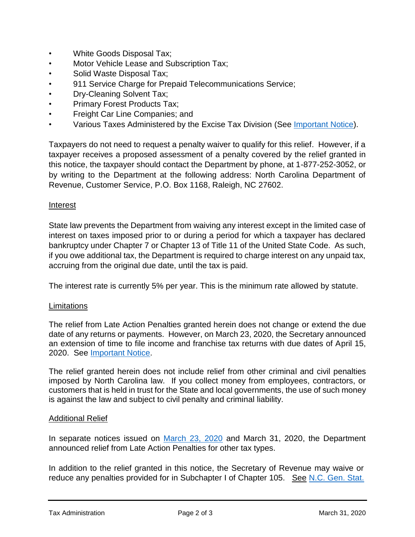- White Goods Disposal Tax;
- Motor Vehicle Lease and Subscription Tax;
- Solid Waste Disposal Tax;
- 911 Service Charge for Prepaid Telecommunications Service;
- Dry-Cleaning Solvent Tax;
- Primary Forest Products Tax;
- Freight Car Line Companies; and
- Various Taxes Administered by the Excise Tax Division (See [Important Notice\)](https://www.ncdor.gov/documents/important-notice-relief-excise-taxpayers-affected-novel-coronavirus-disease-2019-covid-19).

Taxpayers do not need to request a penalty waiver to qualify for this relief. However, if a taxpayer receives a proposed assessment of a penalty covered by the relief granted in this notice, the taxpayer should contact the Department by phone, at 1-877-252-3052, or by writing to the Department at the following address: North Carolina Department of Revenue, Customer Service, P.O. Box 1168, Raleigh, NC 27602.

### **Interest**

State law prevents the Department from waiving any interest except in the limited case of interest on taxes imposed prior to or during a period for which a taxpayer has declared bankruptcy under Chapter 7 or Chapter 13 of Title 11 of the United State Code. As such, if you owe additional tax, the Department is required to charge interest on any unpaid tax, accruing from the original due date, until the tax is paid.

The interest rate is currently 5% per year. This is the minimum rate allowed by statute.

### **Limitations**

The relief from Late Action Penalties granted herein does not change or extend the due date of any returns or payments. However, on March 23, 2020, the Secretary announced an extension of time to file income and franchise tax returns with due dates of April 15, 2020. See [Important Notice.](https://www.ncdor.gov/documents/important-notice-department-revenue-extends-time-file-income-and-franchise-tax-returns-july-15-2020)

The relief granted herein does not include relief from other criminal and civil penalties imposed by North Carolina law. If you collect money from employees, contractors, or customers that is held in trust for the State and local governments, the use of such money is against the law and subject to civil penalty and criminal liability.

#### Additional Relief

In separate notices issued on [March 23, 2020](https://www.ncdor.gov/documents/important-notice-department-revenue-extends-time-file-income-and-franchise-tax-returns-july-15-2020) and March 31, 2020, the Department announced relief from Late Action Penalties for other tax types.

In addition to the relief granted in this notice, the Secretary of Revenue may waive or reduce any penalties provided for in Subchapter I of Chapter 105. See [N.C. Gen. Stat.](https://www.ncleg.gov/EnactedLegislation/Statutes/HTML/BySection/Chapter_105/GS_105-237.html)